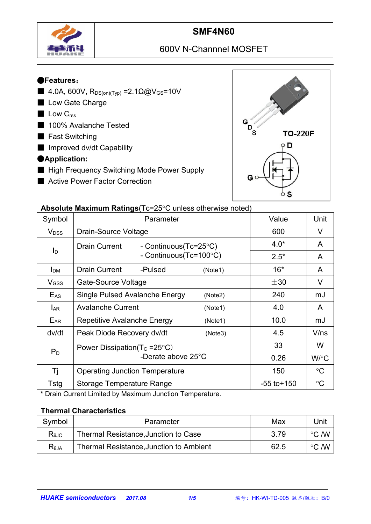

## **SMF4N60**

# 600V N-Channnel MOSFET

#### ●**Features**:

- $4.0A, 600V, R<sub>DS(on)(Type) = 2.1Ω@V<sub>GS</sub>=10V</sub>$
- Low Gate Charge
- Low C<sub>rss</sub>
- 100% Avalanche Tested
- Fast Switching
- Improved dv/dt Capability

#### ●**Application:**

- High Frequency Switching Mode Power Supply
- Active Power Factor Correction



#### **Absolute Maximum Ratings** (Tc=25°C unless otherwise noted)

|                         | $\sim$ . The measurement is a consequence of the control increase of the control increase of the control increase of the control increase of the control increase of the control increase of the control increase of the contro |                 |                 |
|-------------------------|---------------------------------------------------------------------------------------------------------------------------------------------------------------------------------------------------------------------------------|-----------------|-----------------|
| Symbol                  | Parameter                                                                                                                                                                                                                       | Value           | Unit            |
| <b>V</b> <sub>DSS</sub> | Drain-Source Voltage                                                                                                                                                                                                            | 600             | $\vee$          |
|                         | Drain Current<br>- Continuous(Tc=25°C)                                                                                                                                                                                          | $4.0*$          | A               |
| $I_D$                   | - Continuous(Tc=100°C)                                                                                                                                                                                                          | $2.5*$          | A               |
| I <sub>DM</sub>         | <b>Drain Current</b><br>-Pulsed<br>(Note1)                                                                                                                                                                                      | $16*$           | A               |
| V <sub>GSS</sub>        | Gate-Source Voltage                                                                                                                                                                                                             | $\pm 30$        | V               |
| $E_{AS}$                | Single Pulsed Avalanche Energy<br>(Note2)                                                                                                                                                                                       | 240             | mJ              |
| <b>LAR</b>              | <b>Avalanche Current</b><br>(Note1)                                                                                                                                                                                             | 4.0             | $\mathsf{A}$    |
| EAR                     | Repetitive Avalanche Energy<br>(Note1)                                                                                                                                                                                          | 10.0            | mJ              |
| dv/dt                   | Peak Diode Recovery dv/dt<br>(Note3)                                                                                                                                                                                            | 4.5             | V/ns            |
|                         | Power Dissipation( $T_c = 25^{\circ}C$ )                                                                                                                                                                                        | 33              | W               |
| $P_D$                   | -Derate above 25°C                                                                                                                                                                                                              | 0.26            | W/°C            |
| Τj                      | <b>Operating Junction Temperature</b>                                                                                                                                                                                           | 150             | $\rm ^{\circ}C$ |
| Tstg                    | <b>Storage Temperature Range</b>                                                                                                                                                                                                | $-55$ to $+150$ | $\rm ^{\circ}C$ |

**\*** Drain Current Limited by Maximum Junction Temperature.

#### **Thermal Characteristics**

| Symbol         | Parameter                               | Max  | Unit            |  |
|----------------|-----------------------------------------|------|-----------------|--|
| $R_{\theta$ JC | Thermal Resistance, Junction to Case    | 3.79 | こ /W<br>$\circ$ |  |
| $R_{\theta$ JA | Thermal Resistance, Junction to Ambient | 62.5 | こ /W<br>$\circ$ |  |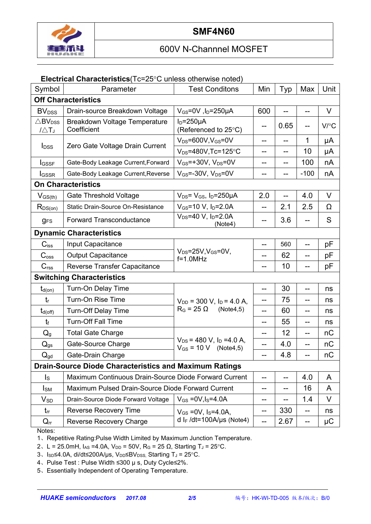

## 600V N-Channnel MOSFET

#### **Electrical Characteristics**(Tc=25°C unless otherwise noted)

| Symbol                                            | Parameter                                                     | <b>Test Conditons</b>                                                  | Min               | Typ  | Max    | Unit     |  |
|---------------------------------------------------|---------------------------------------------------------------|------------------------------------------------------------------------|-------------------|------|--------|----------|--|
|                                                   | <b>Off Characteristics</b>                                    |                                                                        |                   |      |        |          |  |
| <b>BV</b> <sub>DSS</sub>                          | Drain-source Breakdown Voltage                                | $V_{GS}$ =0V, l <sub>D</sub> =250µA                                    | 600               |      | --     | $\vee$   |  |
| $\triangle$ BV <sub>DSS</sub><br>$1\triangle T_J$ | Breakdown Voltage Temperature<br>Coefficient                  | $I_D = 250 \mu A$<br>(Referenced to 25°C)                              | --                | 0.65 |        | V/C      |  |
| <b>I</b> <sub>DSS</sub>                           | Zero Gate Voltage Drain Current                               | $V_{DS} = 600V$ , $V_{GS} = 0V$                                        | --                | ——   | 1      | μA       |  |
|                                                   |                                                               | $V_{DS} = 480V$ , Tc=125°C                                             | --                | --   | 10     | μA       |  |
| <b>I</b> GSSF                                     | Gate-Body Leakage Current, Forward                            | $V_{GS}$ =+30V, $V_{DS}$ =0V                                           | --                | --   | 100    | nA       |  |
| <b>I</b> GSSR                                     | Gate-Body Leakage Current, Reverse                            | $V_{GS}$ =-30V, $V_{DS}$ =0V                                           | --                | --   | $-100$ | nA       |  |
| <b>On Characteristics</b>                         |                                                               |                                                                        |                   |      |        |          |  |
| $V_{GS(th)}$                                      | <b>Gate Threshold Voltage</b>                                 | $V_{DS} = V_{GS}$ , $I_D = 250 \mu A$                                  | 2.0               |      | 4.0    | $\vee$   |  |
| $R_{DS(on)}$                                      | Static Drain-Source On-Resistance                             | $V_{GS}$ =10 V, $I_D$ =2.0A                                            | --                | 2.1  | 2.5    | $\Omega$ |  |
| <b>gFS</b>                                        | <b>Forward Transconductance</b>                               | $V_{DS} = 40 V$ , $I_D = 2.0 A$<br>(Note4)                             | --                | 3.6  | --     | S        |  |
|                                                   | <b>Dynamic Characteristics</b>                                |                                                                        |                   |      |        |          |  |
| $C$ <sub>iss</sub>                                | Input Capacitance                                             |                                                                        | --                | 560  | --     | pF       |  |
| C <sub>oss</sub>                                  | <b>Output Capacitance</b>                                     | $V_{DS} = 25V$ , $V_{GS} = 0V$ ,<br>$f=1.0$ MHz                        | --                | 62   | --     | pF       |  |
| C <sub>rss</sub>                                  | Reverse Transfer Capacitance                                  |                                                                        | --                | 10   |        | pF       |  |
|                                                   | <b>Switching Characteristics</b>                              |                                                                        |                   |      |        |          |  |
| $t_{d(on)}$                                       | Turn-On Delay Time                                            |                                                                        | --                | 30   | --     | ns       |  |
| $t_{r}$                                           | Turn-On Rise Time                                             | $V_{DD}$ = 300 V, $I_D$ = 4.0 A,                                       | --                | 75   | --     | ns       |  |
| $t_{d(off)}$                                      | <b>Turn-Off Delay Time</b>                                    | $R_G = 25 \Omega$<br>(Note4,5)                                         | --                | 60   | --     | ns       |  |
| $t_{f}$                                           | <b>Turn-Off Fall Time</b>                                     |                                                                        | --                | 55   | --     | ns       |  |
| $Q_g$                                             | <b>Total Gate Charge</b>                                      |                                                                        | --                | 12   | --     | nC       |  |
| $Q_{gs}$                                          | Gate-Source Charge                                            | $V_{DS}$ = 480 V, I <sub>D</sub> = 4.0 A,<br>$V_{GS} = 10 V$ (Note4,5) | $-$               | 4.0  |        | nC       |  |
| $Q_{gd}$                                          | Gate-Drain Charge                                             |                                                                        |                   | 4.8  |        | nC       |  |
|                                                   | <b>Drain-Source Diode Characteristics and Maximum Ratings</b> |                                                                        |                   |      |        |          |  |
| $\mathsf{I}_\mathsf{S}$                           | Maximum Continuous Drain-Source Diode Forward Current         | --                                                                     | --                | 4.0  | A      |          |  |
| $I_{\text{SM}}$                                   | Maximum Pulsed Drain-Source Diode Forward Current             | --                                                                     | --                | 16   | A      |          |  |
| $V_{SD}$                                          | Drain-Source Diode Forward Voltage                            | $V_{GS} = 0V, I_S = 4.0A$                                              | --                | --   | 1.4    | V        |  |
| $t_{rr}$                                          | <b>Reverse Recovery Time</b>                                  | $V_{GS} = 0V$ , $I_S = 4.0A$ ,                                         | $\qquad \qquad -$ | 330  | $--$   | ns       |  |
| $Q_{rr}$                                          | Reverse Recovery Charge                                       | d I <sub>F</sub> /dt=100A/µs (Note4)                                   | $-$               | 2.67 | --     | $\mu$ C  |  |

Notes:

1、Repetitive Rating:Pulse Width Limited by Maximum Junction Temperature.

2、L = 25.0mH, I<sub>AS</sub> = 4.0A, V<sub>DD</sub> = 50V, R<sub>G</sub> = 25 Ω, Starting T<sub>J</sub> = 25 °C.

3、Isp≤4.0A, di/dt≤200A/µs, V<sub>DD</sub>≤BV<sub>DSS,</sub> Starting T<sub>J</sub> = 25°C.

4、Pulse Test : Pulse Width ≤300 µ s, Duty Cycle≤2%.

5、Essentially Independent of Operating Temperature.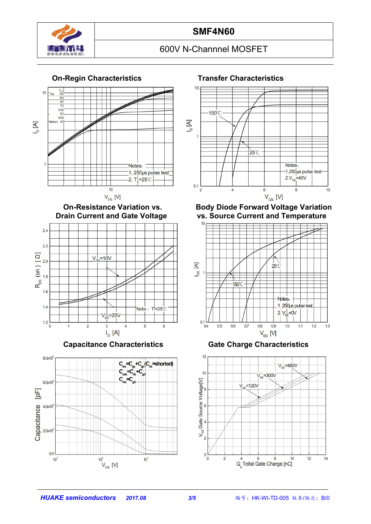

## 600V N-Channnel MOSFET





**Capacitance Characteristics Gate Charge Characteristics**







**On-Resistance Variation vs. Body Diode Forward Voltage Variation Drain Current and Temperature** 



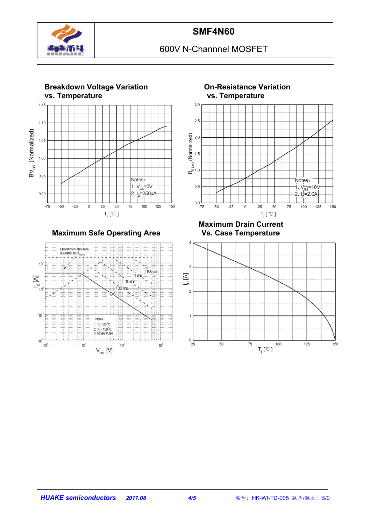

## **SMF4N60**

## 600V N-Channnel MOSFET



**Maximum Safe Operating Area** 





**Maximum Drain Current**